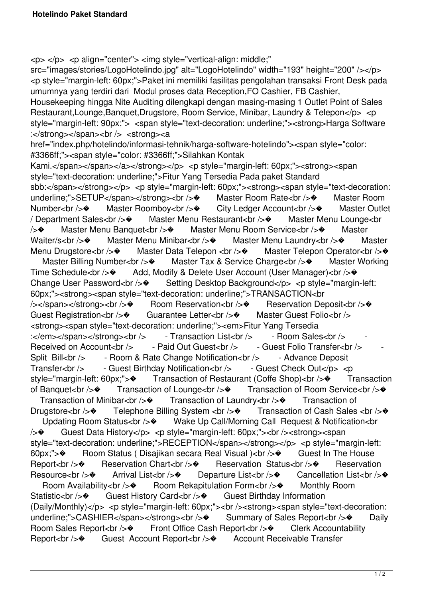$<$ p $>$  $<$ /p $>$  $<$ p align="center" $>$  $<$ img style="vertical-align: middle;"

src="images/stories/LogoHotelindo.jpg" alt="LogoHotelindo" width="193" height="200" /></p> <p style="margin-left: 60px;">Paket ini memiliki fasilitas pengolahan transaksi Front Desk pada umumnya yang terdiri dari Modul proses data Reception,FO Cashier, FB Cashier,

Housekeeping hingga Nite Auditing dilengkapi dengan masing-masing 1 Outlet Point of Sales Restaurant,Lounge,Banquet,Drugstore, Room Service, Minibar, Laundry & Telepon</p> <p style="margin-left: 90px;"> <span style="text-decoration: underline;"><strong>Harga Software :</strong></span><br />><br /> <strong><a

href="index.php/hotelindo/informasi-tehnik/harga-software-hotelindo"><span style="color: #3366ff;"><span style="color: #3366ff;">Silahkan Kontak

Kami.</span></span></a>></strong></p> <p style="margin-left: 60px;"><strong><span style="text-decoration: underline;">Fitur Yang Tersedia Pada paket Standard sbb:</span></strong></p> <p style="margin-left: 60px;"><strong><span style="text-decoration: underline;">SETUP</span></strong><br />� Master Room Rate<br />� Master Room Number<br /> $\diamond$  Master Roomboy<br />br /> $\diamond$  City Ledger Account<br />br /> $\diamond$  Master Outlet / Department Sales<br /> $\Diamond$  Master Menu Restaurant<br /> $\Diamond$  Master Menu Lounge<br /> $\Diamond$  Master Menu Banquet<br />  $\Diamond$  Master Menu Room Service<br />  $\Diamond$  Master Waiter/s<br /> $\diamond$  Master Menu Minibar<br /> $\diamond$  Master Menu Laundry<br /> $\diamond$  Master Menu Drugstore<br /> $\rightarrow$  Master Data Telepon <br /> $\rightarrow$  Master Telepon Operator<br /> Master Billing Number<br /> $\Diamond$  Master Tax & Service Charge<br /> $\Diamond$  Master Working Time Schedule<br />  $\diamond$  Add, Modify & Delete User Account (User Manager)<br />  $\diamond$ Change User Password<br />  $\Diamond$  Setting Desktop Background</p>
<p style="margin-left: 60px;"><strong><span style="text-decoration: underline;">TRANSACTION<br /> /span></strong><br />br />
Room Reservation<br />
Reservation Deposit<br />  $\bullet$ Guest Registration<br /> $\diamond$  Guarantee Letter<br /> $\diamond$  Master Guest Folio<br /> <strong><span style="text-decoration: underline;"><em>Fitur Yang Tersedia  $\langle \langle \rangle \rangle$ :</em></span></strong><br />>  $\langle \rangle$  - Transaction List<br />ht /> - Room Sales<br />ht /> Received on Account<br />  $\sim$  - Paid Out Guest<br />  $\sim$  - Guest Folio Transfer<br />  $\sim$ Split Bill<br />
Split Bill<br />  $\sim$  - Room & Rate Change Notification<br />  $\sim$  - Advance Deposit Transfer<br />>
- Guest Birthday Notification<br />
- Guest Check Out</p>
<p style="margin-left: 60px;"> $\bullet$  Transaction of Restaurant (Coffe Shop)<br />> $\bullet$  Transaction of Banquet<br /> $\diamond$  Transaction of Lounge<br /> $\diamond$  Transaction of Room Service<br /> $\diamond$ Transaction of Minibar<br  $\gg$  Transaction of Laundry<br  $\gg$  Transaction of Drugstore<br /> $\diamond$  Telephone Billing System <br />>  $\diamond$  Transaction of Cash Sales <br /> $\diamond$ Updating Room Status<br />  $\Diamond$  Wake Up Call/Morning Call Request & Notification<br />
kg Wake Up Call/Morning Call Request & Notification<br />
kg Wake Up Call/Morning Call Request & Notification<br />
kg Wake Up Call/Mor />� Guest Data History</p> <p style="margin-left: 60px;"><br /><strong><span style="text-decoration: underline;">RECEPTION</span></strong></p> <p style="margin-left: 60px;"> $\Diamond$  Room Status (Disajikan secara Real Visual )<br /> $\Diamond$  Guest In The House Report<br /> $\diamond$  Reservation Chart<br /> $\diamond$  Reservation Status<br />> Reservation Resource<br />� Arrival List<br />� Departure List<br />� Cancellation List<br />� Room Availability<br /> $\diamond$  Room Rekapitulation Form<br /> $\diamond$  Monthly Room Statistic<br /> $\diamond$  Guest History Card<br />> $\diamond$  Guest Birthday Information (Daily/Monthly)</p> <p style="margin-left: 60px;"><br />>>/><strong><span style="text-decoration: underline:">CASHIER</span></strong><br />>  $\bullet$  Summary of Sales Report<br />> $\bullet$  Daily Room Sales Report<br />� Front Office Cash Report<br />� Clerk Accountability Report<br /> $\diamond$  Guest Account Report<br />br /> $\diamond$  Account Receivable Transfer